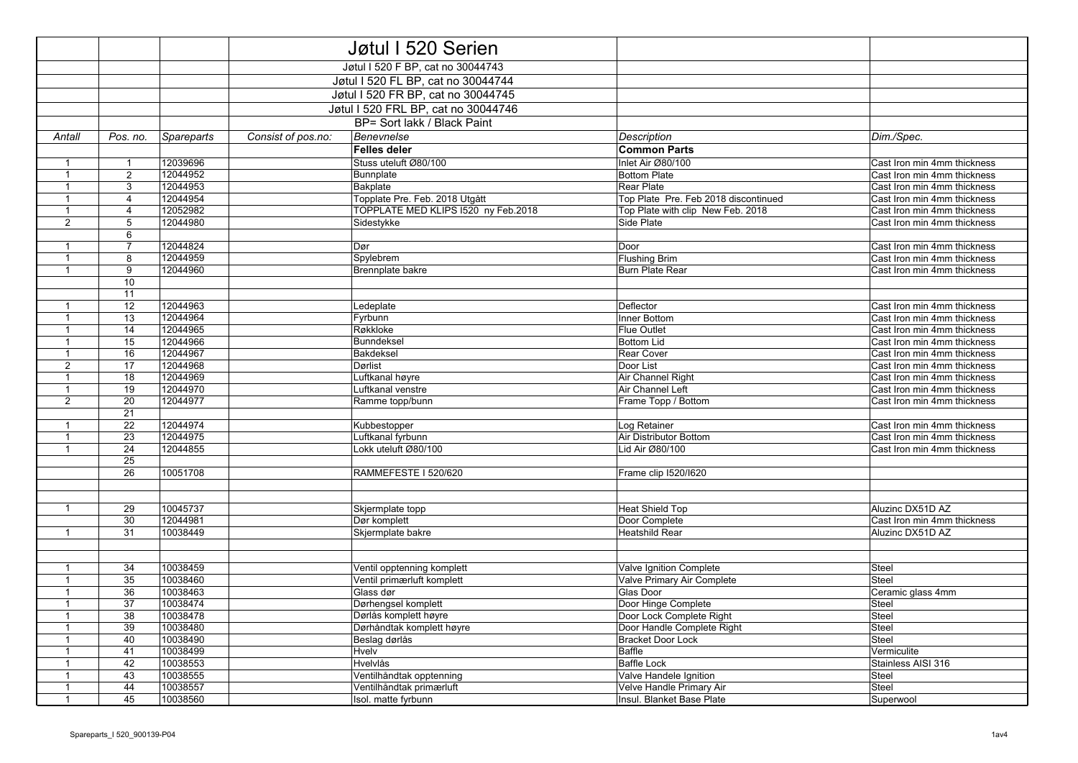|                              |                       |                      | Jøtul I 520 Serien                 |                                     |  |                                           |                                                            |
|------------------------------|-----------------------|----------------------|------------------------------------|-------------------------------------|--|-------------------------------------------|------------------------------------------------------------|
|                              |                       |                      | Jøtul I 520 F BP, cat no 30044743  |                                     |  |                                           |                                                            |
|                              |                       |                      | Jøtul I 520 FL BP, cat no 30044744 |                                     |  |                                           |                                                            |
|                              |                       |                      |                                    |                                     |  |                                           |                                                            |
|                              |                       |                      | Jøtul I 520 FR BP, cat no 30044745 |                                     |  |                                           |                                                            |
|                              |                       |                      |                                    | Jøtul I 520 FRL BP, cat no 30044746 |  |                                           |                                                            |
|                              |                       |                      |                                    | BP= Sort lakk / Black Paint         |  |                                           |                                                            |
| Antall                       | Pos. no.              | <b>Spareparts</b>    | Consist of pos.no:                 | Benevnelse                          |  | Description                               | Dim./Spec.                                                 |
|                              |                       |                      |                                    | <b>Felles deler</b>                 |  | <b>Common Parts</b>                       |                                                            |
| $\mathbf{1}$                 | $\mathbf{1}$          | 12039696             |                                    | Stuss uteluft Ø80/100               |  | Inlet Air Ø80/100                         | Cast Iron min 4mm thickness                                |
| $\overline{1}$               | $\overline{2}$        | 12044952             |                                    | Bunnplate                           |  | <b>Bottom Plate</b>                       | Cast Iron min 4mm thickness                                |
| $\mathbf{1}$                 | 3                     | 12044953             |                                    | Bakplate                            |  | <b>Rear Plate</b>                         | Cast Iron min 4mm thickness                                |
| $\mathbf{1}$                 | $\overline{4}$        | 12044954             |                                    | Topplate Pre. Feb. 2018 Utgått      |  | Top Plate Pre. Feb 2018 discontinued      | Cast Iron min 4mm thickness                                |
| $\mathbf{1}$                 | $\overline{4}$        | 12052982             |                                    | TOPPLATE MED KLIPS I520 ny Feb.2018 |  | Top Plate with clip New Feb. 2018         | Cast Iron min 4mm thickness                                |
| $\overline{2}$               | 5                     | 12044980             |                                    | Sidestykke                          |  | Side Plate                                | Cast Iron min 4mm thickness                                |
|                              | 6                     |                      |                                    |                                     |  |                                           |                                                            |
| $\overline{1}$               | $\overline{7}$        | 12044824             |                                    | Dør                                 |  | Door                                      | Cast Iron min 4mm thickness                                |
| $\mathbf{1}$                 | 8                     | 12044959             |                                    | Spylebrem                           |  | <b>Flushing Brim</b>                      | Cast Iron min 4mm thickness                                |
| $\mathbf{1}$                 | 9                     | 12044960             |                                    | Brennplate bakre                    |  | <b>Burn Plate Rear</b>                    | Cast Iron min 4mm thickness                                |
|                              | 10                    |                      |                                    |                                     |  |                                           |                                                            |
|                              | 11                    |                      |                                    |                                     |  |                                           |                                                            |
| $\mathbf{1}$                 | 12                    | 12044963             |                                    | Ledeplate                           |  | Deflector                                 | Cast Iron min 4mm thickness                                |
| $\mathbf{1}$                 | 13                    | 12044964             |                                    | Fyrbunn                             |  | Inner Bottom                              | Cast Iron min 4mm thickness                                |
| $\mathbf{1}$                 | 14                    | 12044965             |                                    | Røkkloke                            |  | <b>Flue Outlet</b>                        | Cast Iron min 4mm thickness                                |
| $\mathbf{1}$                 | 15                    | 12044966             |                                    | Bunndeksel                          |  | <b>Bottom Lid</b>                         | Cast Iron min 4mm thickness                                |
| $\mathbf{1}$                 | 16                    | 12044967             |                                    | Bakdeksel                           |  | Rear Cover                                | Cast Iron min 4mm thickness                                |
| 2                            | 17                    | 12044968             |                                    | Dørlist                             |  | Door List                                 | Cast Iron min 4mm thickness                                |
| $\mathbf{1}$                 | 18                    | 12044969             |                                    | Luftkanal høyre                     |  | Air Channel Right                         | Cast Iron min 4mm thickness                                |
| $\mathbf{1}$                 | 19                    | 12044970             |                                    | Luftkanal venstre                   |  | Air Channel Left                          | Cast Iron min 4mm thickness                                |
| $\overline{2}$               | 20                    | 12044977             |                                    | Ramme topp/bunn                     |  | Frame Topp / Bottom                       | Cast Iron min 4mm thickness                                |
|                              | 21                    |                      |                                    |                                     |  |                                           |                                                            |
| $\overline{1}$               | 22                    | 12044974<br>12044975 |                                    | Kubbestopper<br>Luftkanal fyrbunn   |  | Log Retainer                              | Cast Iron min 4mm thickness                                |
| $\mathbf{1}$<br>$\mathbf{1}$ | $\overline{23}$<br>24 | 12044855             |                                    | Lokk uteluft Ø80/100                |  | Air Distributor Bottom<br>Lid Air Ø80/100 | Cast Iron min 4mm thickness<br>Cast Iron min 4mm thickness |
|                              | 25                    |                      |                                    |                                     |  |                                           |                                                            |
|                              | 26                    | 10051708             |                                    | RAMMEFESTE I 520/620                |  | Frame clip 1520/1620                      |                                                            |
|                              |                       |                      |                                    |                                     |  |                                           |                                                            |
|                              |                       |                      |                                    |                                     |  |                                           |                                                            |
| $\mathbf{1}$                 | 29                    | 10045737             |                                    | Skjermplate topp                    |  | <b>Heat Shield Top</b>                    | Aluzinc DX51D AZ                                           |
|                              | 30                    | 12044981             |                                    | Dør komplett                        |  | Door Complete                             | Cast Iron min 4mm thickness                                |
| $\mathbf{1}$                 | 31                    | 10038449             |                                    | Skjermplate bakre                   |  | <b>Heatshild Rear</b>                     | Aluzinc DX51D AZ                                           |
|                              |                       |                      |                                    |                                     |  |                                           |                                                            |
|                              |                       |                      |                                    |                                     |  |                                           |                                                            |
| $\mathbf 1$                  | 34                    | 10038459             |                                    | Ventil opptenning komplett          |  | Valve Ignition Complete                   | <b>Steel</b>                                               |
| $\mathbf{1}$                 | 35                    | 10038460             |                                    | Ventil primærluft komplett          |  | Valve Primary Air Complete                | <b>Steel</b>                                               |
| $\mathbf{1}$                 | 36                    | 10038463             |                                    | Glass dør                           |  | Glas Door                                 | Ceramic glass 4mm                                          |
| $\mathbf 1$                  | 37                    | 10038474             |                                    | Dørhengsel komplett                 |  | Door Hinge Complete                       | Steel                                                      |
| $\mathbf{1}$                 | 38                    | 10038478             |                                    | Dørlås komplett høyre               |  | Door Lock Complete Right                  | Steel                                                      |
| $\mathbf{1}$                 | 39                    | 10038480             |                                    | Dørhåndtak komplett høyre           |  | Door Handle Complete Right                | Steel                                                      |
| $\overline{1}$               | 40                    | 10038490             |                                    | Beslag dørlås                       |  | <b>Bracket Door Lock</b>                  | Steel                                                      |
| $\mathbf{1}$                 | 41                    | 10038499             |                                    | Hvelv                               |  | Baffle                                    | Vermiculite                                                |
| $\mathbf{1}$                 | 42                    | 10038553             |                                    | Hvelvlås                            |  | <b>Baffle Lock</b>                        | Stainless AISI 316                                         |
| $\mathbf{1}$                 | 43                    | 10038555             |                                    | Ventilhåndtak opptenning            |  | Valve Handele Ignition                    | Steel                                                      |
| $\mathbf{1}$                 | 44                    | 10038557             |                                    | Ventilhåndtak primærluft            |  | <b>Velve Handle Primary Air</b>           | <b>Steel</b>                                               |
| $\mathbf{1}$                 | 45                    | 10038560             |                                    | Isol. matte fyrbunn                 |  | Insul. Blanket Base Plate                 | Superwool                                                  |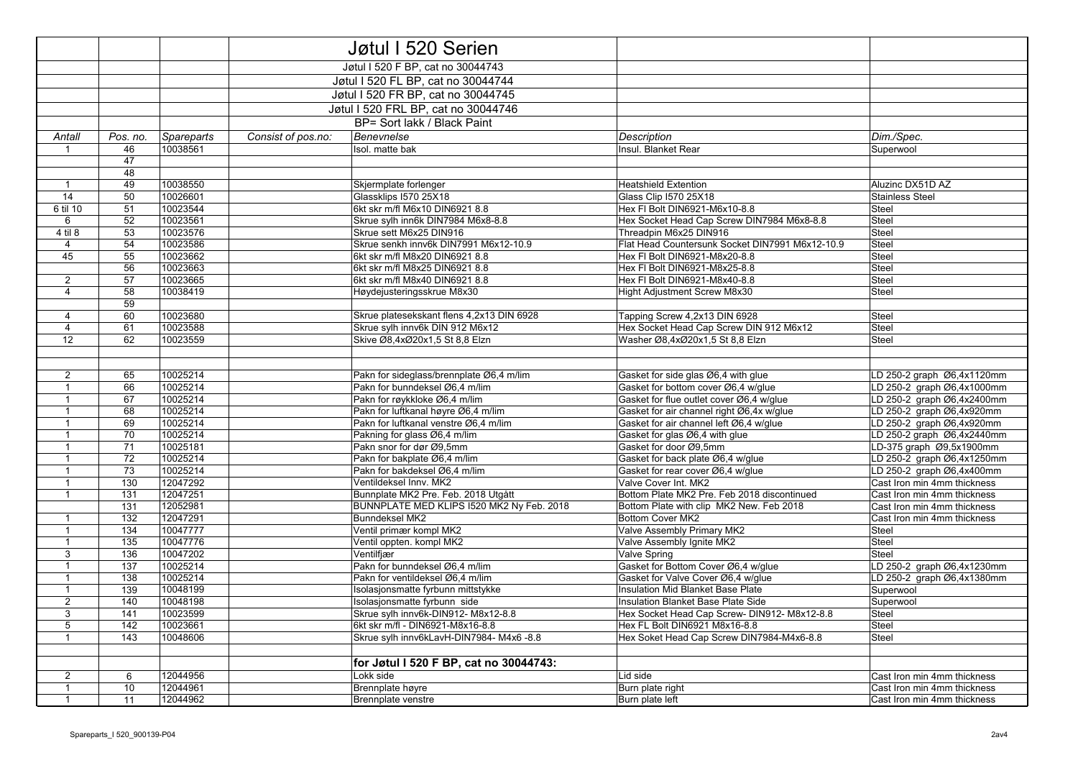|                   |            |                      |                    | Jøtul I 520 Serien                                                 |                                                                           |                             |
|-------------------|------------|----------------------|--------------------|--------------------------------------------------------------------|---------------------------------------------------------------------------|-----------------------------|
|                   |            |                      |                    | Jøtul I 520 F BP, cat no 30044743                                  |                                                                           |                             |
|                   |            |                      |                    | Jøtul I 520 FL BP, cat no 30044744                                 |                                                                           |                             |
|                   |            |                      |                    | Jøtul I 520 FR BP, cat no 30044745                                 |                                                                           |                             |
|                   |            |                      |                    |                                                                    |                                                                           |                             |
|                   |            |                      |                    | Jøtul I 520 FRL BP, cat no 30044746                                |                                                                           |                             |
|                   |            |                      |                    | BP= Sort lakk / Black Paint                                        |                                                                           |                             |
| Antall            | Pos. no.   | Spareparts           | Consist of pos.no: | Benevnelse                                                         | <b>Description</b>                                                        | Dim./Spec.                  |
| 1                 | 46         | 10038561             |                    | Isol. matte bak                                                    | Insul. Blanket Rear                                                       | Superwool                   |
|                   | 47         |                      |                    |                                                                    |                                                                           |                             |
|                   | 48         |                      |                    |                                                                    |                                                                           |                             |
| $\mathbf{1}$      | 49         | 10038550             |                    | Skjermplate forlenger                                              | <b>Heatshield Extention</b>                                               | Aluzinc DX51D AZ            |
| 14                | 50         | 10026601             |                    | Glassklips I570 25X18                                              | Glass Clip 1570 25X18                                                     | <b>Stainless Steel</b>      |
| 6 til 10          | 51         | 10023544             |                    | 6kt skr m/fl M6x10 DIN6921 8.8                                     | Hex FI Bolt DIN6921-M6x10-8.8                                             | Steel                       |
| 6                 | 52         | 10023561             |                    | Skrue sylh inn6k DIN7984 M6x8-8.8                                  | Hex Socket Head Cap Screw DIN7984 M6x8-8.8                                | Steel                       |
| 4 til 8           | 53         | 10023576             |                    | Skrue sett M6x25 DIN916                                            | Threadpin M6x25 DIN916                                                    | Steel                       |
| $\overline{4}$    | 54         | 10023586             |                    | Skrue senkh innv6k DIN7991 M6x12-10.9                              | Flat Head Countersunk Socket DIN7991 M6x12-10.9                           | Steel                       |
| 45                | 55         | 10023662             |                    | 6kt skr m/fl M8x20 DIN6921 8.8                                     | Hex FI Bolt DIN6921-M8x20-8.8                                             | Steel                       |
|                   | 56         | 10023663             |                    | 6kt skr m/fl M8x25 DIN6921 8.8                                     | Hex FI Bolt DIN6921-M8x25-8.8                                             | Steel                       |
| $\overline{2}$    | 57         | 10023665             |                    | 6kt skr m/fl M8x40 DIN6921 8.8                                     | Hex FI Bolt DIN6921-M8x40-8.8                                             | Steel                       |
| $\overline{4}$    | 58         | 10038419             |                    | Høydejusteringsskrue M8x30                                         | Hight Adjustment Screw M8x30                                              | Steel                       |
|                   | 59         |                      |                    |                                                                    |                                                                           |                             |
| $\overline{4}$    | 60         | 10023680             |                    | Skrue platesekskant flens 4,2x13 DIN 6928                          | Tapping Screw 4,2x13 DIN 6928                                             | <b>Steel</b>                |
| $\overline{4}$    | 61         | 10023588             |                    | Skrue sylh innv6k DIN 912 M6x12                                    | Hex Socket Head Cap Screw DIN 912 M6x12                                   | Steel                       |
| $\overline{12}$   | 62         | 10023559             |                    | Skive Ø8,4xØ20x1,5 St 8,8 Elzn                                     | Washer Ø8,4xØ20x1,5 St 8,8 Elzn                                           | Steel                       |
|                   |            |                      |                    |                                                                    |                                                                           |                             |
|                   |            |                      |                    |                                                                    |                                                                           |                             |
| $\overline{2}$    | 65         | 10025214             |                    | Pakn for sideglass/brennplate Ø6,4 m/lim                           | Gasket for side glas Ø6,4 with glue                                       | LD 250-2 graph Ø6,4x1120mm  |
| $\mathbf{1}$      | 66         | 10025214             |                    | Pakn for bunndeksel Ø6,4 m/lim                                     | Gasket for bottom cover Ø6,4 w/qlue                                       | LD 250-2 graph Ø6,4x1000mm  |
| $\mathbf{1}$      | 67         | 10025214             |                    | Pakn for røykkloke Ø6,4 m/lim                                      | Gasket for flue outlet cover Ø6,4 w/glue                                  | LD 250-2 graph Ø6,4x2400mm  |
| $\mathbf{1}$      | 68         | 10025214             |                    | Pakn for luftkanal høyre Ø6,4 m/lim                                | Gasket for air channel right Ø6,4x w/glue                                 | LD 250-2 graph Ø6,4x920mm   |
| $\mathbf{1}$      | 69         | 10025214             |                    | Pakn for luftkanal venstre Ø6,4 m/lim                              | Gasket for air channel left Ø6,4 w/glue                                   | LD 250-2 graph Ø6,4x920mm   |
| $\mathbf{1}$      | 70         | 10025214             |                    | Pakning for glass Ø6,4 m/lim                                       | Gasket for glas Ø6,4 with glue                                            | LD 250-2 graph Ø6,4x2440mm  |
| $\mathbf{1}$      | 71         | 10025181             |                    | Pakn snor for dør Ø9,5mm                                           | Gasket for door Ø9,5mm                                                    | LD-375 graph Ø9,5x1900mm    |
| $\mathbf{1}$      | 72         | 10025214             |                    | Pakn for bakplate Ø6,4 m/lim                                       | Gasket for back plate Ø6,4 w/glue                                         | LD 250-2 graph Ø6,4x1250mm  |
| $\mathbf{1}$      | 73         | 10025214             |                    | Pakn for bakdeksel Ø6,4 m/lim                                      | Gasket for rear cover Ø6,4 w/qlue                                         | LD 250-2 graph Ø6,4x400mm   |
| $\mathbf{1}$      | 130        | 12047292             |                    | Ventildeksel Innv. MK2                                             | Valve Cover Int. MK2                                                      | Cast Iron min 4mm thickness |
| $\mathbf{1}$      | 131        | 12047251             |                    | Bunnplate MK2 Pre. Feb. 2018 Utgått                                | Bottom Plate MK2 Pre. Feb 2018 discontinued                               | Cast Iron min 4mm thickness |
|                   | 131        | 12052981             |                    | BUNNPLATE MED KLIPS 1520 MK2 Ny Feb. 2018                          | Bottom Plate with clip MK2 New. Feb 2018                                  | Cast Iron min 4mm thickness |
| $\mathbf{1}$      | 132        | 12047291             |                    | <b>Bunndeksel MK2</b>                                              | <b>Bottom Cover MK2</b>                                                   | Cast Iron min 4mm thickness |
| $\mathbf{1}$      | 134        | 10047777             |                    | Ventil primær kompl MK2                                            | Valve Assembly Primary MK2                                                | Steel                       |
| $\mathbf{1}$      | 135        | 10047776<br>10047202 |                    | Ventil oppten. kompl MK2                                           | Valve Assembly Ignite MK2                                                 | Steel<br>Steel              |
| 3                 | 136        |                      |                    | Ventilfiær                                                         | <b>Valve Spring</b>                                                       |                             |
| $\mathbf{1}$      | 137        | 10025214<br>10025214 |                    | Pakn for bunndeksel Ø6,4 m/lim<br>Pakn for ventildeksel Ø6.4 m/lim | Gasket for Bottom Cover Ø6,4 w/glue<br>Gasket for Valve Cover Ø6.4 w/glue | LD 250-2 graph Ø6,4x1230mm  |
| $\mathbf{1}$      | 138        |                      |                    |                                                                    |                                                                           | LD 250-2 graph Ø6,4x1380mm  |
| $\mathbf{1}$      | 139        | 10048199<br>10048198 |                    | Isolasjonsmatte fyrbunn mittstykke                                 | Insulation Mid Blanket Base Plate                                         | Superwool                   |
| $\overline{2}$    | 140        | 10023599             |                    | Isolasjonsmatte fyrbunn side                                       | Insulation Blanket Base Plate Side                                        | Superwool<br>Steel          |
| 3                 | 141<br>142 |                      |                    | Skrue sylh innv6k-DIN912- M8x12-8.8                                | Hex Socket Head Cap Screw- DIN912- M8x12-8.8                              | Steel                       |
| 5<br>$\mathbf{1}$ | 143        | 10023661<br>10048606 |                    | 6kt skr m/fl - DIN6921-M8x16-8.8                                   | Hex FL Bolt DIN6921 M8x16-8.8                                             | Steel                       |
|                   |            |                      |                    | Skrue sylh innv6kLavH-DIN7984- M4x6 -8.8                           | Hex Soket Head Cap Screw DIN7984-M4x6-8.8                                 |                             |
|                   |            |                      |                    |                                                                    |                                                                           |                             |
|                   |            |                      |                    | for Jøtul I 520 F BP, cat no 30044743:                             |                                                                           |                             |
| $\overline{2}$    | 6          | 12044956             |                    | Lokk side                                                          | Lid side                                                                  | Cast Iron min 4mm thickness |
| $\mathbf{1}$      | 10         | 12044961             |                    | Brennplate høyre                                                   | Burn plate right                                                          | Cast Iron min 4mm thickness |
| $\mathbf{1}$      | 11         | 12044962             |                    | Brennplate venstre                                                 | Burn plate left                                                           | Cast Iron min 4mm thickness |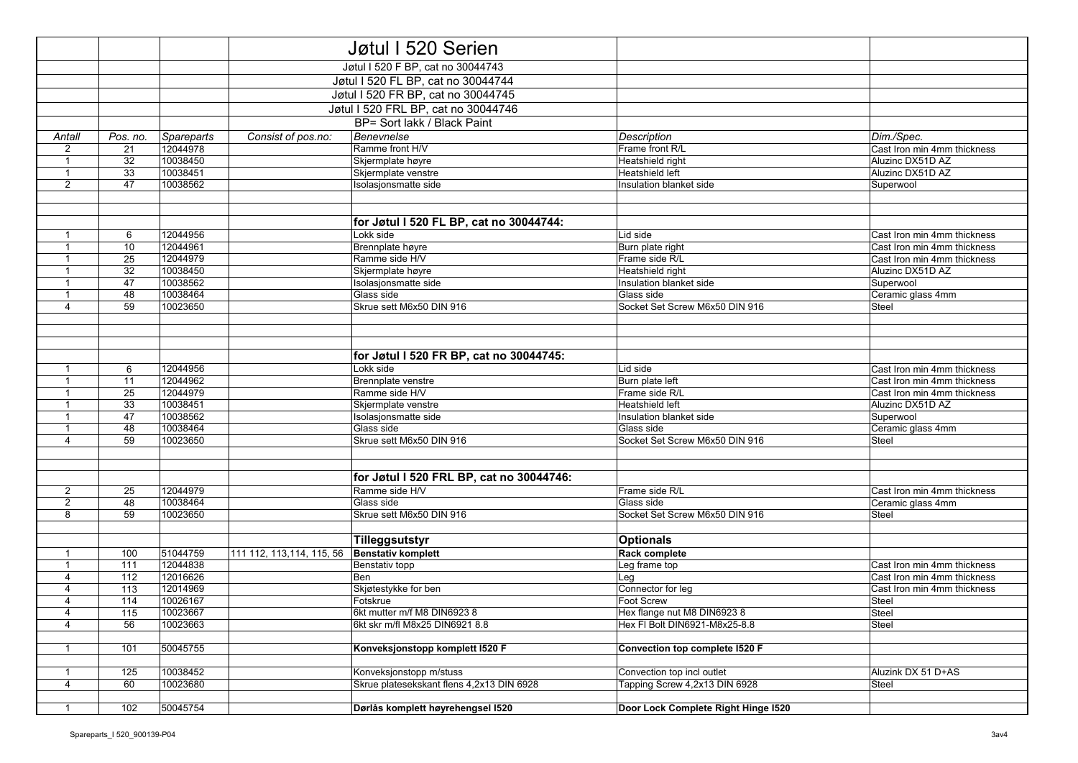|                                |            |                      |                            | Jøtul I 520 Serien                          |                                     |                             |
|--------------------------------|------------|----------------------|----------------------------|---------------------------------------------|-------------------------------------|-----------------------------|
|                                |            |                      |                            | Jøtul I 520 F BP, cat no 30044743           |                                     |                             |
|                                |            |                      |                            | Jøtul I 520 FL BP, cat no 30044744          |                                     |                             |
|                                |            |                      |                            | Jøtul I 520 FR BP, cat no 30044745          |                                     |                             |
|                                |            |                      |                            | Jøtul I 520 FRL BP, cat no 30044746         |                                     |                             |
|                                |            |                      |                            |                                             |                                     |                             |
|                                |            |                      |                            | BP= Sort lakk / Black Paint                 |                                     |                             |
| Antall                         | Pos. no.   | Spareparts           | Consist of pos.no:         | Benevnelse                                  | Description                         | Dim./Spec.                  |
| 2                              | 21         | 12044978             |                            | Ramme front H/V                             | Frame front R/L                     | Cast Iron min 4mm thickness |
| $\mathbf{1}$                   | 32         | 10038450             |                            | Skjermplate høyre                           | Heatshield right<br>Heatshield left | Aluzinc DX51D AZ            |
| $\mathbf{1}$<br>$\overline{2}$ | 33<br>47   | 10038451<br>10038562 |                            | Skjermplate venstre                         | Insulation blanket side             | Aluzinc DX51D AZ            |
|                                |            |                      |                            | Isolasjonsmatte side                        |                                     | Superwool                   |
|                                |            |                      |                            |                                             |                                     |                             |
|                                |            |                      |                            | for Jøtul I 520 FL BP, cat no 30044744:     |                                     |                             |
| $\mathbf{1}$                   | 6          | 12044956             |                            | Lokk side                                   | Lid side                            | Cast Iron min 4mm thickness |
| $\mathbf{1}$                   | 10         | 12044961             |                            | Brennplate høyre                            | Burn plate right                    | Cast Iron min 4mm thickness |
| $\mathbf 1$                    | 25         | 12044979             |                            | Ramme side H/V                              | Frame side R/L                      | Cast Iron min 4mm thickness |
| $\overline{1}$                 | 32         | 10038450             |                            | Skjermplate høyre                           | Heatshield right                    | Aluzinc DX51D AZ            |
| $\mathbf{1}$                   | 47         | 10038562             |                            | Isolasjonsmatte side                        | Insulation blanket side             | Superwool                   |
| $\mathbf{1}$                   | 48         | 10038464             |                            | Glass side                                  | Glass side                          | Ceramic glass 4mm           |
| 4                              | 59         | 10023650             |                            | Skrue sett M6x50 DIN 916                    | Socket Set Screw M6x50 DIN 916      | Steel                       |
|                                |            |                      |                            |                                             |                                     |                             |
|                                |            |                      |                            |                                             |                                     |                             |
|                                |            |                      |                            |                                             |                                     |                             |
|                                |            |                      |                            | for Jøtul I 520 FR BP, cat no 30044745:     |                                     |                             |
| $\overline{1}$                 | 6          | 12044956             |                            | Lokk side                                   | Lid side                            | Cast Iron min 4mm thickness |
| $\mathbf{1}$                   | 11         | 12044962             |                            | Brennplate venstre                          | Burn plate left                     | Cast Iron min 4mm thickness |
|                                | 25         | 12044979             |                            | Ramme side H/V                              | Frame side R/L                      | Cast Iron min 4mm thickness |
| $\mathbf 1$                    | 33         | 10038451             |                            | Skjermplate venstre                         | Heatshield left                     | Aluzinc DX51D AZ            |
| $\mathbf{1}$                   | 47         | 10038562             |                            | Isolasjonsmatte side                        | Insulation blanket side             | Superwool                   |
| $\mathbf{1}$                   | 48         | 10038464             |                            | Glass side                                  | Glass side                          | Ceramic glass 4mm           |
| $\overline{4}$                 | 59         | 10023650             |                            | Skrue sett M6x50 DIN 916                    | Socket Set Screw M6x50 DIN 916      | <b>Steel</b>                |
|                                |            |                      |                            |                                             |                                     |                             |
|                                |            |                      |                            |                                             |                                     |                             |
|                                |            |                      |                            | for Jøtul I 520 FRL BP, cat no 30044746:    |                                     |                             |
| $\overline{2}$                 | 25         | 12044979             |                            | Ramme side H/V                              | Frame side R/L                      | Cast Iron min 4mm thickness |
| $\overline{2}$                 | 48         | 10038464             |                            | Glass side                                  | Glass side                          | Ceramic glass 4mm           |
| 8                              | 59         | 10023650             |                            | Skrue sett M6x50 DIN 916                    | Socket Set Screw M6x50 DIN 916      | Steel                       |
|                                |            |                      |                            |                                             |                                     |                             |
|                                |            |                      |                            | Tilleggsutstyr                              | <b>Optionals</b>                    |                             |
| $\overline{1}$                 | 100<br>111 | 51044759<br>12044838 | 111 112, 113, 114, 115, 56 | <b>Benstativ komplett</b><br>Benstativ topp | Rack complete                       | Cast Iron min 4mm thickness |
| $\mathbf{1}$<br>$\overline{4}$ |            |                      |                            |                                             | Leg frame top                       | Cast Iron min 4mm thickness |
| $\overline{4}$                 | 112<br>113 | 12016626<br>12014969 |                            | Ben                                         | Leg<br>Connector for leg            | Cast Iron min 4mm thickness |
| $\overline{4}$                 | 114        | 10026167             |                            | Skjøtestykke for ben<br>Fotskrue            | Foot Screw                          | Steel                       |
|                                | 115        | 10023667             |                            | 6kt mutter m/f M8 DIN6923 8                 | Hex flange nut M8 DIN6923 8         | Steel                       |
| 4<br>$\overline{4}$            | 56         | 10023663             |                            | 6kt skr m/fl M8x25 DIN6921 8.8              | Hex FI Bolt DIN6921-M8x25-8.8       | Steel                       |
|                                |            |                      |                            |                                             |                                     |                             |
| $\mathbf{1}$                   | 101        | 50045755             |                            | Konveksjonstopp komplett I520 F             | Convection top complete I520 F      |                             |
|                                |            |                      |                            |                                             |                                     |                             |
| $\mathbf{1}$                   | 125        | 10038452             |                            | Konveksjonstopp m/stuss                     | Convection top incl outlet          | Aluzink DX 51 D+AS          |
| $\overline{4}$                 | 60         | 10023680             |                            | Skrue platesekskant flens 4,2x13 DIN 6928   | Tapping Screw 4,2x13 DIN 6928       | Steel                       |
|                                |            |                      |                            |                                             |                                     |                             |
| $\mathbf{1}$                   | 102        | 50045754             |                            | Dørlås komplett høyrehengsel I520           | Door Lock Complete Right Hinge I520 |                             |